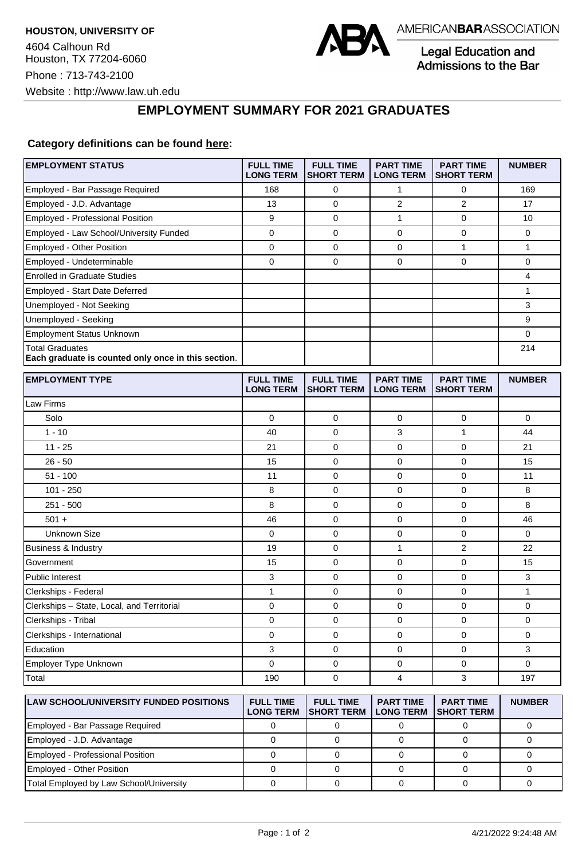

Legal Education and Admissions to the Bar

## **EMPLOYMENT SUMMARY FOR 2021 GRADUATES**

## **Category definitions can be found [here:](https://www.americanbar.org/content/dam/aba/administrative/legal_education_and_admissions_to_the_bar/Questionnaires/2021/2022-employment-protocols-for-the-class-of-2021-september-2021.pdf)**

| <b>EMPLOYMENT STATUS</b>                                                      | <b>FULL TIME</b><br><b>LONG TERM</b> | <b>FULL TIME</b><br><b>SHORT TERM</b> | <b>PART TIME</b><br><b>LONG TERM</b> | <b>PART TIME</b><br><b>SHORT TERM</b> | <b>NUMBER</b> |
|-------------------------------------------------------------------------------|--------------------------------------|---------------------------------------|--------------------------------------|---------------------------------------|---------------|
| Employed - Bar Passage Required                                               | 168                                  | 0                                     | $\mathbf{1}$                         | 0                                     | 169           |
| Employed - J.D. Advantage                                                     | 13                                   | 0                                     | 2                                    | 2                                     | 17            |
| Employed - Professional Position                                              | 9                                    | $\mathbf 0$                           | $\mathbf{1}$                         | $\mathbf 0$                           | 10            |
| Employed - Law School/University Funded                                       | 0                                    | 0                                     | 0                                    | 0                                     | 0             |
| Employed - Other Position                                                     | 0                                    | 0                                     | 0                                    | $\mathbf{1}$                          | 1             |
| Employed - Undeterminable                                                     | 0                                    | $\mathbf 0$                           | 0                                    | $\mathbf 0$                           | 0             |
| <b>Enrolled in Graduate Studies</b>                                           |                                      |                                       |                                      |                                       | 4             |
| Employed - Start Date Deferred                                                |                                      |                                       |                                      |                                       | 1             |
| Unemployed - Not Seeking                                                      |                                      |                                       |                                      |                                       | 3             |
| Unemployed - Seeking                                                          |                                      |                                       |                                      |                                       | 9             |
| <b>Employment Status Unknown</b>                                              |                                      |                                       |                                      |                                       | 0             |
| <b>Total Graduates</b><br>Each graduate is counted only once in this section. |                                      |                                       |                                      |                                       | 214           |
| <b>EMPLOYMENT TYPE</b>                                                        | <b>FULL TIME</b><br><b>LONG TERM</b> | <b>FULL TIME</b><br><b>SHORT TERM</b> | <b>PART TIME</b><br><b>LONG TERM</b> | <b>PART TIME</b><br><b>SHORT TERM</b> | <b>NUMBER</b> |
| Law Firms                                                                     |                                      |                                       |                                      |                                       |               |
| Solo                                                                          | 0                                    | 0                                     | 0                                    | 0                                     | 0             |
| $1 - 10$                                                                      | 40                                   | $\mathbf 0$                           | 3                                    | 1                                     | 44            |
| $11 - 25$                                                                     | 21                                   | $\mathbf 0$                           | 0                                    | $\mathbf 0$                           | 21            |
| $26 - 50$                                                                     | 15                                   | $\mathbf 0$                           | 0                                    | 0                                     | 15            |
| $51 - 100$                                                                    | 11                                   | 0                                     | 0                                    | $\mathbf 0$                           | 11            |
| $101 - 250$                                                                   | 8                                    | 0                                     | 0                                    | 0                                     | 8             |
| $251 - 500$                                                                   | 8                                    | $\mathbf 0$                           | 0                                    | $\mathbf 0$                           | 8             |
| $501 +$                                                                       | 46                                   | $\mathbf 0$                           | 0                                    | $\mathbf 0$                           | 46            |
| <b>Unknown Size</b>                                                           | 0                                    | 0                                     | 0                                    | 0                                     | 0             |
| Business & Industry                                                           | 19                                   | 0                                     | 1                                    | $\overline{2}$                        | 22            |
| Government                                                                    | 15                                   | 0                                     | 0                                    | $\mathbf 0$                           | 15            |
| <b>Public Interest</b>                                                        | 3                                    | $\mathbf 0$                           | 0                                    | $\mathbf 0$                           | 3             |
| Clerkships - Federal                                                          | 1                                    | $\mathbf 0$                           | 0                                    | 0                                     | $\mathbf{1}$  |
| Clerkships - State, Local, and Territorial                                    | 0                                    | $\mathbf 0$                           | 0                                    | $\mathbf 0$                           | 0             |
| Clerkships - Tribal                                                           | 0                                    | 0                                     | 0                                    | 0                                     | 0             |
| Clerkships - International                                                    | 0                                    | $\mathbf 0$                           | 0                                    | $\mathbf 0$                           | 0             |
| Education                                                                     | 3                                    | 0                                     | 0                                    | 0                                     | 3             |
| Employer Type Unknown                                                         | 0                                    | 0                                     | 0                                    | 0                                     | $\mathbf 0$   |
| Total                                                                         | 190                                  | 0                                     | 4                                    | 3                                     | 197           |
|                                                                               |                                      |                                       |                                      |                                       |               |
| <b>LAW SCHOOL/UNIVERSITY FUNDED POSITIONS</b>                                 | <b>FULL TIME</b><br><b>LONG TERM</b> | <b>FULL TIME</b><br><b>SHORT TERM</b> | <b>PART TIME</b><br><b>LONG TERM</b> | <b>PART TIME</b><br><b>SHORT TERM</b> | <b>NUMBER</b> |
| Employed - Bar Passage Required                                               | $\pmb{0}$                            | $\pmb{0}$                             | $\pmb{0}$                            | $\mathsf 0$                           | $\pmb{0}$     |

Employed - J.D. Advantage and the control of the control of the control of the control of the control of the control of the control of the control of the control of the control of the control of the control of the control Employed - Professional Position 0 0 0 0 0 Employed - Other Position 0 0 0 0 0 Total Employed by Law School/University 0 0 0 0 0